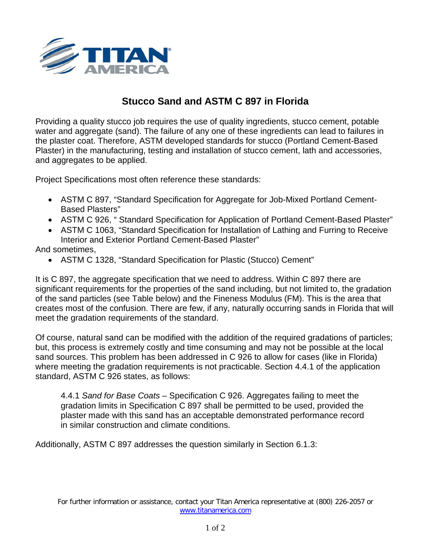

## **Stucco Sand and ASTM C 897 in Florida**

Providing a quality stucco job requires the use of quality ingredients, stucco cement, potable water and aggregate (sand). The failure of any one of these ingredients can lead to failures in the plaster coat. Therefore, ASTM developed standards for stucco (Portland Cement-Based Plaster) in the manufacturing, testing and installation of stucco cement, lath and accessories, and aggregates to be applied.

Project Specifications most often reference these standards:

- ASTM C 897, "Standard Specification for Aggregate for Job-Mixed Portland Cement-Based Plasters"
- ASTM C 926, " Standard Specification for Application of Portland Cement-Based Plaster"
- ASTM C 1063, "Standard Specification for Installation of Lathing and Furring to Receive Interior and Exterior Portland Cement-Based Plaster"

## And sometimes,

• ASTM C 1328, "Standard Specification for Plastic (Stucco) Cement"

It is C 897, the aggregate specification that we need to address. Within C 897 there are significant requirements for the properties of the sand including, but not limited to, the gradation of the sand particles (see Table below) and the Fineness Modulus (FM). This is the area that creates most of the confusion. There are few, if any, naturally occurring sands in Florida that will meet the gradation requirements of the standard.

Of course, natural sand can be modified with the addition of the required gradations of particles; but, this process is extremely costly and time consuming and may not be possible at the local sand sources. This problem has been addressed in C 926 to allow for cases (like in Florida) where meeting the gradation requirements is not practicable. Section 4.4.1 of the application standard, ASTM C 926 states, as follows:

4.4.1 *Sand for Base Coats* – Specification C 926. Aggregates failing to meet the gradation limits in Specification C 897 shall be permitted to be used, provided the plaster made with this sand has an acceptable demonstrated performance record in similar construction and climate conditions.

Additionally, ASTM C 897 addresses the question similarly in Section 6.1.3: